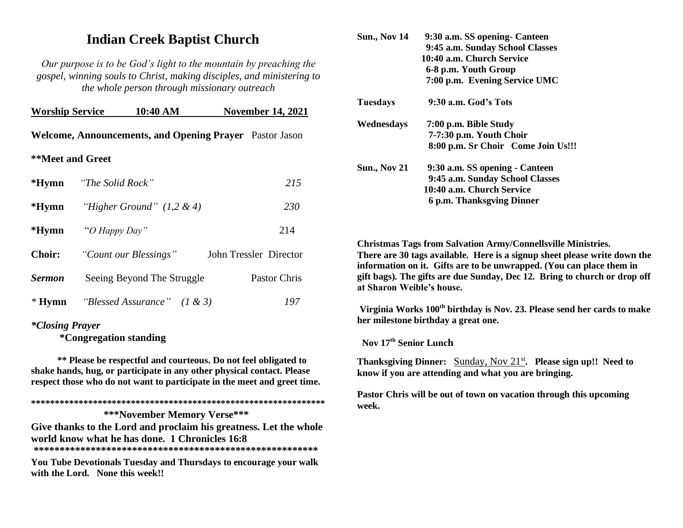# **Indian Creek Baptist Church**

*Our purpose is to be God's light to the mountain by preaching the gospel, winning souls to Christ, making disciples, and ministering to the whole person through missionary outreach*

| <b>Worship Service</b>         |  | 10:40 AM                                   |                                                                | <b>November 14, 2021</b> |
|--------------------------------|--|--------------------------------------------|----------------------------------------------------------------|--------------------------|
|                                |  |                                            | <b>Welcome, Announcements, and Opening Prayer</b> Pastor Jason |                          |
| **Meet and Greet               |  |                                            |                                                                |                          |
| * <b>Hymn</b> "The Solid Rock" |  |                                            |                                                                | 215                      |
|                                |  | <b>*Hymn</b> "Higher Ground" $(1, 2 \& 4)$ |                                                                | 230                      |
| *Hymn "O Happy Day"            |  |                                            |                                                                | 214                      |
| <b>Choir:</b>                  |  | "Count our Blessings"                      |                                                                | John Tressler Director   |
| <b>Sermon</b>                  |  | Seeing Beyond The Struggle                 |                                                                | Pastor Chris             |
|                                |  | <b>* Hymn</b> "Blessed Assurance" (1 & 3)  |                                                                | 197                      |

# *\*Closing Prayer*

 **\*Congregation standing**

 **\*\* Please be respectful and courteous. Do not feel obligated to shake hands, hug, or participate in any other physical contact. Please respect those who do not want to participate in the meet and greet time.** 

**\*\*\*\*\*\*\*\*\*\*\*\*\*\*\*\*\*\*\*\*\*\*\*\*\*\*\*\*\*\*\*\*\*\*\*\*\*\*\*\*\*\*\*\*\*\*\*\*\*\*\*\*\*\*\*\*\*\*\*\*\*\***

 **\*\*\*November Memory Verse\*\*\*** 

**Give thanks to the Lord and proclaim his greatness. Let the whole world know what he has done. 1 Chronicles 16:8 \*\*\*\*\*\*\*\*\*\*\*\*\*\*\*\*\*\*\*\*\*\*\*\*\*\*\*\*\*\*\*\*\*\*\*\*\*\*\*\*\*\*\*\*\*\*\*\*\*\*\*\*\*\*\*** 

**You Tube Devotionals Tuesday and Thursdays to encourage your walk with the Lord. None this week!!**

| <b>Sun., Nov 14</b> | 9:30 a.m. SS opening - Canteen     |
|---------------------|------------------------------------|
|                     | 9:45 a.m. Sunday School Classes    |
|                     | 10:40 a.m. Church Service          |
|                     | 6-8 p.m. Youth Group               |
|                     | 7:00 p.m. Evening Service UMC      |
| Tuesdays            | 9:30 a.m. God's Tots               |
| Wednesdays          | 7:00 p.m. Bible Study              |
|                     | 7-7:30 p.m. Youth Choir            |
|                     | 8:00 p.m. Sr Choir Come Join Us!!! |
| <b>Sun., Nov 21</b> | 9:30 a.m. SS opening - Canteen     |
|                     | 9:45 a.m. Sunday School Classes    |
|                     | 10:40 a.m. Church Service          |
|                     | 6 p.m. Thanksgving Dinner          |
|                     |                                    |

**Christmas Tags from Salvation Army/Connellsville Ministries. There are 30 tags available. Here is a signup sheet please write down the information on it. Gifts are to be unwrapped. (You can place them in gift bags). The gifts are due Sunday, Dec 12. Bring to church or drop off at Sharon Weible's house.**

**Virginia Works 100th birthday is Nov. 23. Please send her cards to make her milestone birthday a great one.**

**Nov 17 th Senior Lunch**

**Thanksgiving Dinner:** Sunday, Nov 21<sup>st</sup>. Please sign up!! Need to **know if you are attending and what you are bringing.**

**Pastor Chris will be out of town on vacation through this upcoming week.**